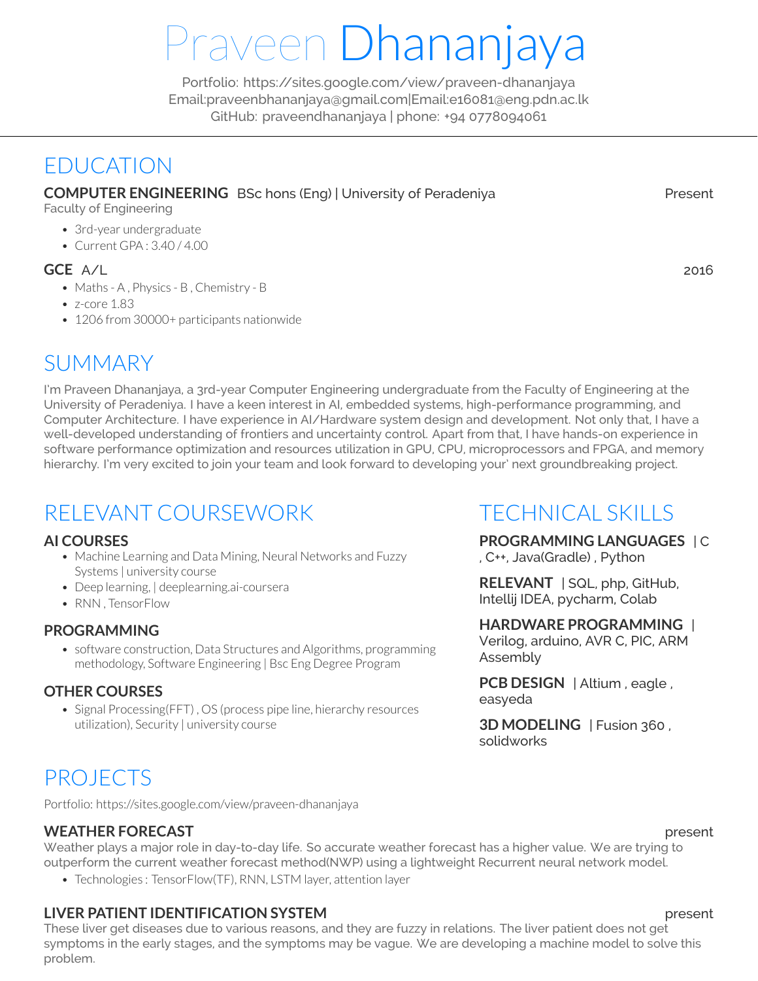# Praveen Dhananjaya

Portfolio: <https://sites.google.com/view/praveen-dhananjaya> [Email:praveenbhananjaya@gmail.com|Email:e16081@eng.pdn.ac.lk](praveenbhananjaya@gmail.com) [GitHub: praveendhananjaya](https://github.com/praveendhananjaya) | phone: +94 0778094061

# EDUCATION

**COMPUTER ENGINEERING** BSc hons (Eng) | University of Peradeniya Present

Faculty of Engineering

- 3rd-year undergraduate
- Current GPA : 3.40 / 4.00

#### **GCE** A/L 2016

- Maths A , Physics B , Chemistry B
- z-core 1.83
- 1206 from 30000+ participants nationwide

# **SUMMARY**

I'm Praveen Dhananjaya, a 3rd-year Computer Engineering undergraduate from the Faculty of Engineering at the University of Peradeniya. I have a keen interest in AI, embedded systems, high-performance programming, and Computer Architecture. I have experience in AI/Hardware system design and development. Not only that, I have a well-developed understanding of frontiers and uncertainty control. Apart from that, I have hands-on experience in software performance optimization and resources utilization in GPU, CPU, microprocessors and FPGA, and memory hierarchy. I'm very excited to join your team and look forward to developing your' next groundbreaking project.

# RELEVANT COURSEWORK

#### **AI COURSES**

- Machine Learning and Data Mining, Neural Networks and Fuzzy Systems | university course
- Deep learning, | deeplearning.ai-coursera
- RNN , TensorFlow

#### **PROGRAMMING**

• software construction, Data Structures and Algorithms, programming methodology, Software Engineering | Bsc Eng Degree Program

#### **OTHER COURSES**

• Signal Processing(FFT), OS (process pipe line, hierarchy resources utilization), Security | university course

# TECHNICAL SKILLS

## **PROGRAMMING LANGUAGES** | C

, C++, Java(Gradle) , Python

**RELEVANT** | SQL, php, GitHub, Intellij IDEA, pycharm, Colab

#### **HARDWARE PROGRAMMING** |

Verilog, arduino, AVR C, PIC, ARM Assembly

**PCB DESIGN** | Altium , eagle , easyeda

**3D MODELING** | Fusion 360 , solidworks

# PROJECTS

Portfolio: <https://sites.google.com/view/praveen-dhananjaya>

#### **WEATHER FORECAST** present

Weather plays a major role in day-to-day life. So accurate weather forecast has a higher value. We are trying to outperform the current weather forecast method(NWP) using a lightweight Recurrent neural network model.

• Technologies : TensorFlow(TF), RNN, LSTM layer, attention layer

### **LIVER PATIENT IDENTIFICATION SYSTEM present**

These liver get diseases due to various reasons, and they are fuzzy in relations. The liver patient does not get symptoms in the early stages, and the symptoms may be vague. We are developing a machine model to solve this problem.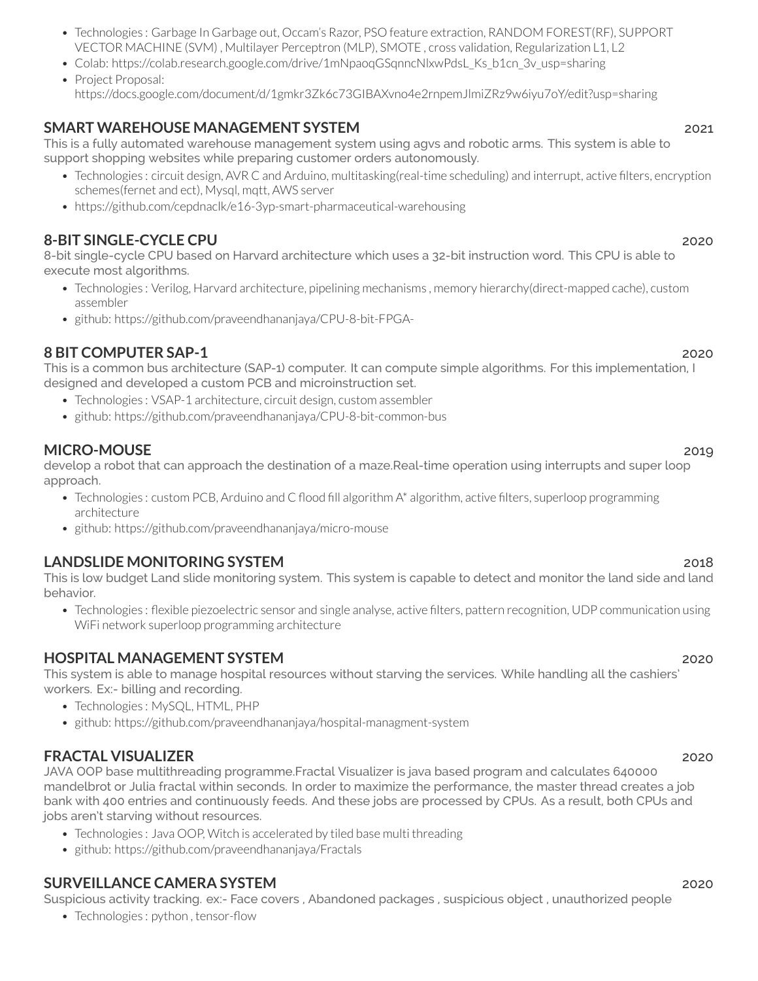• Technologies : python, tensor-flow

- Technologies : Garbage In Garbage out, Occam's Razor, PSO feature extraction, RANDOM FOREST(RF), SUPPORT VECTOR MACHINE (SVM) , Multilayer Perceptron (MLP), SMOTE , cross validation, Regularization L1, L2
- Colab: [https://colab.research.google.com/drive/1mNpaoqGSqnncNlxwPdsL\\_Ks\\_b1cn\\_3v\\_usp=sharing](https://colab.research.google.com/drive/1mNpaoqGSqnncNlxwPdsL_Ks_b1cn_3v_?usp=sharing)
- Project [Proposal:](https://docs.google.com/document/d/1gmkr3Zk6c73GIBAXvno4e2rnpemJlmiZRz9w6iyu7oY/edit?usp=sharing) <https://docs.google.com/document/d/1gmkr3Zk6c73GIBAXvno4e2rnpemJlmiZRz9w6iyu7oY/edit?usp=sharing>

### **SMART WAREHOUSE MANAGEMENT SYSTEM** 2021

This is a fully automated warehouse management system using agvs and robotic arms. This system is able to support shopping websites while preparing customer orders autonomously.

- Technologies : circuit design, AVR C and Arduino, multitasking(real-time scheduling) and interrupt, active filters, encryption schemes(fernet and ect), Mysql, mqtt, AWS server
- <https://github.com/cepdnaclk/e16-3yp-smart-pharmaceutical-warehousing>

### **8-BIT SINGLE-CYCLE CPU** 2020

8-bit single-cycle CPU based on Harvard architecture which uses a 32-bit instruction word. This CPU is able to execute most algorithms.

- Technologies : Verilog, Harvard architecture, pipelining mechanisms , memory hierarchy(direct-mapped cache), custom assembler
- github: <https://github.com/praveendhananjaya/CPU-8-bit-FPGA->

### **8 BIT COMPUTER SAP-1** 2020

This is a common bus architecture (SAP-1) computer. It can compute simple algorithms. For this implementation, I designed and developed a custom PCB and microinstruction set.

- Technologies : VSAP-1 architecture, circuit design, custom assembler
- github: <https://github.com/praveendhananjaya/CPU-8-bit-common-bus>

### **MICRO-MOUSE** 2019

develop a robot that can approach the destination of a maze.Real-time operation using interrupts and super loop approach.

- Technologies : custom PCB, Arduino and C flood fill algorithm A\* algorithm, active filters, superloop programming architecture
- github: <https://github.com/praveendhananjaya/micro-mouse>

### **LANDSLIDE MONITORING SYSTEM** 2018

This is low budget Land slide monitoring system. This system is capable to detect and monitor the land side and land behavior.

• Technologies : flexible piezoelectric sensor and single analyse, active filters, pattern recognition, UDP communication using WiFi network superloop programming architecture

### **HOSPITAL MANAGEMENT SYSTEM** 2020

This system is able to manage hospital resources without starving the services. While handling all the cashiers' workers. Ex:- billing and recording.

- Technologies : MySQL, HTML, PHP
- github: <https://github.com/praveendhananjaya/hospital-managment-system>

### **FRACTAL VISUALIZER** 2020

JAVA OOP base multithreading programme.Fractal Visualizer is java based program and calculates 640000 mandelbrot or Julia fractal within seconds. In order to maximize the performance, the master thread creates a job bank with 400 entries and continuously feeds. And these jobs are processed by CPUs. As a result, both CPUs and jobs aren't starving without resources.

- Technologies : Java OOP, Witch is accelerated by tiled base multi threading
- github: <https://github.com/praveendhananjaya/Fractals>

### **SURVEILLANCE CAMERA SYSTEM** 2020

Suspicious activity tracking. ex:- Face covers , Abandoned packages , suspicious object , unauthorized people